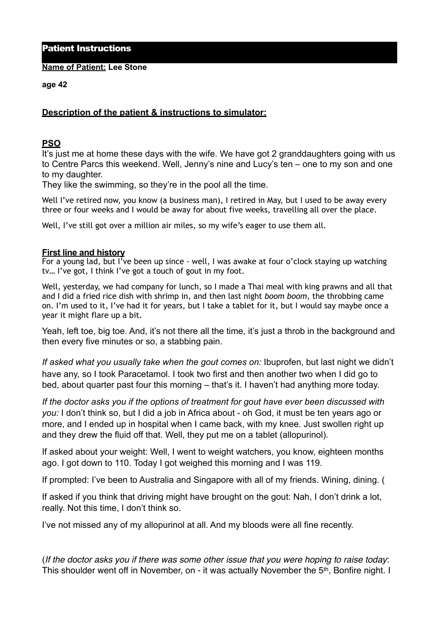Patient Instructions

**Name of Patient: Lee Stone**

**age 42** 

## **Description of the patient & instructions to simulator:**

## **PSO**

It's just me at home these days with the wife. We have got 2 granddaughters going with us to Centre Parcs this weekend. Well, Jenny's nine and Lucy's ten – one to my son and one to my daughter.

They like the swimming, so they're in the pool all the time.

Well I've retired now, you know (a business man), I retired in May, but I used to be away every three or four weeks and I would be away for about five weeks, travelling all over the place.

Well, I've still got over a million air miles, so my wife's eager to use them all.

## **First line and history**

For a young lad, but I've been up since - well, I was awake at four o'clock staying up watching tv… I've got, I think I've got a touch of gout in my foot.

Well, yesterday, we had company for lunch, so I made a Thai meal with king prawns and all that and I did a fried rice dish with shrimp in, and then last night *boom boom*, the throbbing came on. I'm used to it, I've had it for years, but I take a tablet for it, but I would say maybe once a year it might flare up a bit.

Yeah, left toe, big toe. And, it's not there all the time, it's just a throb in the background and then every five minutes or so, a stabbing pain.

*If asked what you usually take when the gout comes on:* Ibuprofen, but last night we didn't have any, so I took Paracetamol. I took two first and then another two when I did go to bed, about quarter past four this morning – that's it. I haven't had anything more today.

*If the doctor asks you if the options of treatment for gout have ever been discussed with you:* I don't think so, but I did a job in Africa about - oh God, it must be ten years ago or more, and I ended up in hospital when I came back, with my knee. Just swollen right up and they drew the fluid off that. Well, they put me on a tablet (allopurinol).

If asked about your weight: Well, I went to weight watchers, you know, eighteen months ago. I got down to 110. Today I got weighed this morning and I was 119.

If prompted: I've been to Australia and Singapore with all of my friends. Wining, dining. (

If asked if you think that driving might have brought on the gout: Nah, I don't drink a lot, really. Not this time, I don't think so.

I've not missed any of my allopurinol at all. And my bloods were all fine recently.

(*If the doctor asks you if there was some other issue that you were hoping to raise today*: This shoulder went off in November, on - it was actually November the 5<sup>th</sup>, Bonfire night. I